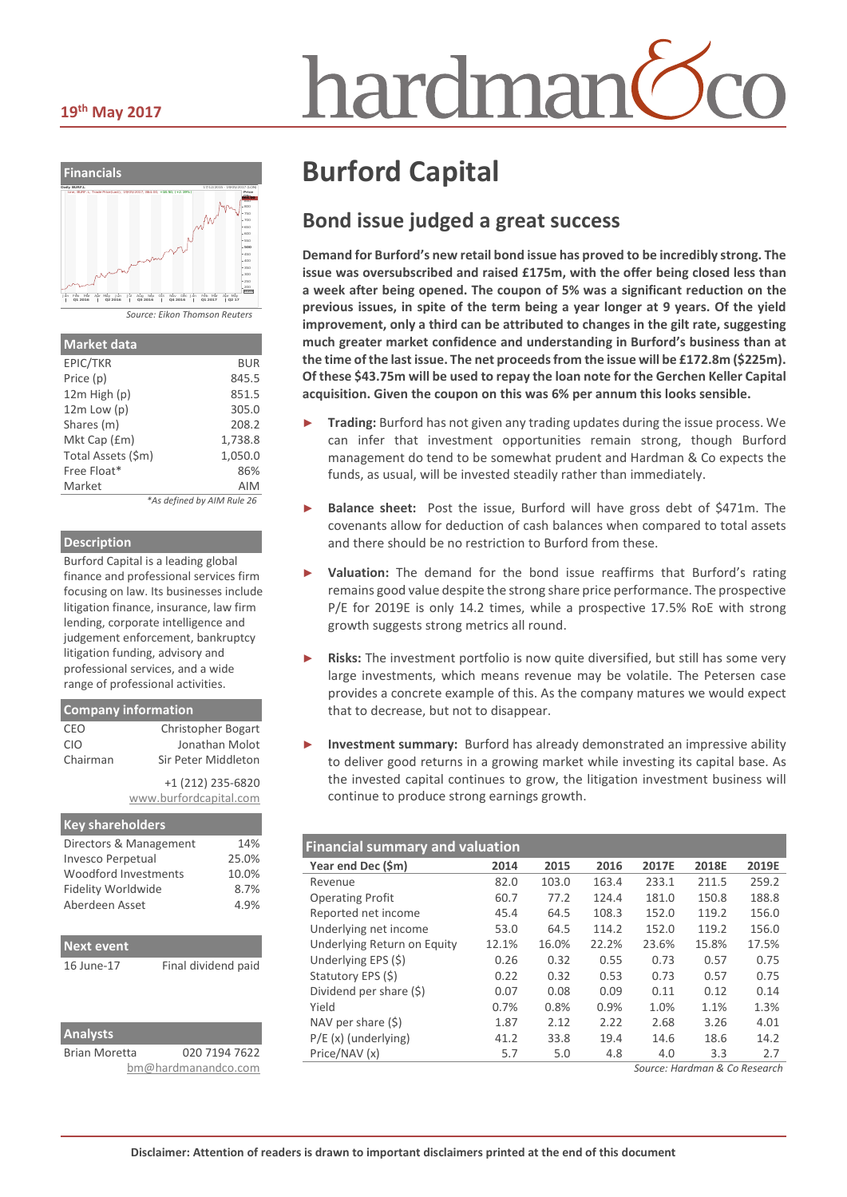# hardmar



| <b>Market data</b> |                            |
|--------------------|----------------------------|
| EPIC/TKR           | BUR                        |
| Price (p)          | 845.5                      |
| $12m$ High $(p)$   | 851.5                      |
| $12m$ Low $(p)$    | 305.0                      |
| Shares (m)         | 208.2                      |
| Mkt Cap (£m)       | 1,738.8                    |
| Total Assets (\$m) | 1,050.0                    |
| Free Float*        | 86%                        |
| Market             | AIM                        |
|                    | *As defined by AIM Rule 26 |

*\*As defined by AIM Rule 26*

#### **Description**

Burford Capital is a leading global finance and professional services firm focusing on law. Its businesses include litigation finance, insurance, law firm lending, corporate intelligence and judgement enforcement, bankruptcy litigation funding, advisory and professional services, and a wide range of professional activities.

| <b>Company information</b> |                           |  |  |  |
|----------------------------|---------------------------|--|--|--|
| CEO                        | <b>Christopher Bogart</b> |  |  |  |
| <b>CIO</b>                 | Jonathan Molot            |  |  |  |
| Chairman                   | Sir Peter Middleton       |  |  |  |
|                            | +1 (212) 235-6820         |  |  |  |
|                            | www.burfordcapital.com    |  |  |  |

| <b>Key shareholders</b>     |       |
|-----------------------------|-------|
| Directors & Management      | 14%   |
| <b>Invesco Perpetual</b>    | 25.0% |
| <b>Woodford Investments</b> | 10.0% |
| Fidelity Worldwide          | 8.7%  |
| Aberdeen Asset              | 4.9%  |
|                             |       |

| <b>Next event</b>    |                     |
|----------------------|---------------------|
| 16 June-17           | Final dividend paid |
|                      |                     |
|                      |                     |
|                      |                     |
| <b>Analysts</b>      |                     |
| <b>Brian Moretta</b> | 020 7194 7622       |

| Brian Moretta | 020 7194 7622       |
|---------------|---------------------|
|               | bm@hardmanandco.com |

# **Burford Capital**

## **Bond issue judged a great success**

**Demand for Burford's new retail bond issue has proved to be incredibly strong. The issue was oversubscribed and raised £175m, with the offer being closed less than a week after being opened. The coupon of 5% was a significant reduction on the previous issues, in spite of the term being a year longer at 9 years. Of the yield improvement, only a third can be attributed to changes in the gilt rate, suggesting much greater market confidence and understanding in Burford's business than at the time of the last issue. The net proceeds from the issue will be £172.8m (\$225m). Of these \$43.75m will be used to repay the loan note for the Gerchen Keller Capital acquisition. Given the coupon on this was 6% per annum this looks sensible.**

- ► **Trading:** Burford has not given any trading updates during the issue process. We can infer that investment opportunities remain strong, though Burford management do tend to be somewhat prudent and Hardman & Co expects the funds, as usual, will be invested steadily rather than immediately.
- Balance sheet: Post the issue, Burford will have gross debt of \$471m. The covenants allow for deduction of cash balances when compared to total assets and there should be no restriction to Burford from these.
- Valuation: The demand for the bond issue reaffirms that Burford's rating remains good value despite the strong share price performance. The prospective P/E for 2019E is only 14.2 times, while a prospective 17.5% RoE with strong growth suggests strong metrics all round.
- Risks: The investment portfolio is now quite diversified, but still has some very large investments, which means revenue may be volatile. The Petersen case provides a concrete example of this. As the company matures we would expect that to decrease, but not to disappear.
- ► **Investment summary:** Burford has already demonstrated an impressive ability to deliver good returns in a growing market while investing its capital base. As the invested capital continues to grow, the litigation investment business will continue to produce strong earnings growth.

| <b>Financial summary and valuation</b> |       |       |       |       |       |       |
|----------------------------------------|-------|-------|-------|-------|-------|-------|
| Year end Dec (\$m)                     | 2014  | 2015  | 2016  | 2017E | 2018E | 2019E |
| Revenue                                | 82.0  | 103.0 | 163.4 | 233.1 | 211.5 | 259.2 |
| <b>Operating Profit</b>                | 60.7  | 77.2  | 124.4 | 181.0 | 150.8 | 188.8 |
| Reported net income                    | 45.4  | 64.5  | 108.3 | 152.0 | 119.2 | 156.0 |
| Underlying net income                  | 53.0  | 64.5  | 114.2 | 152.0 | 119.2 | 156.0 |
| Underlying Return on Equity            | 12.1% | 16.0% | 22.2% | 23.6% | 15.8% | 17.5% |
| Underlying EPS (\$)                    | 0.26  | 0.32  | 0.55  | 0.73  | 0.57  | 0.75  |
| Statutory EPS (\$)                     | 0.22  | 0.32  | 0.53  | 0.73  | 0.57  | 0.75  |
| Dividend per share (\$)                | 0.07  | 0.08  | 0.09  | 0.11  | 0.12  | 0.14  |
| Yield                                  | 0.7%  | 0.8%  | 0.9%  | 1.0%  | 1.1%  | 1.3%  |
| NAV per share $(5)$                    | 1.87  | 2.12  | 2.22  | 2.68  | 3.26  | 4.01  |
| $P/E(x)$ (underlying)                  | 41.2  | 33.8  | 19.4  | 14.6  | 18.6  | 14.2  |
| Price/NAV (x)                          | 5.7   | 5.0   | 4.8   | 4.0   | 3.3   | 2.7   |

*Source: Hardman & Co Research*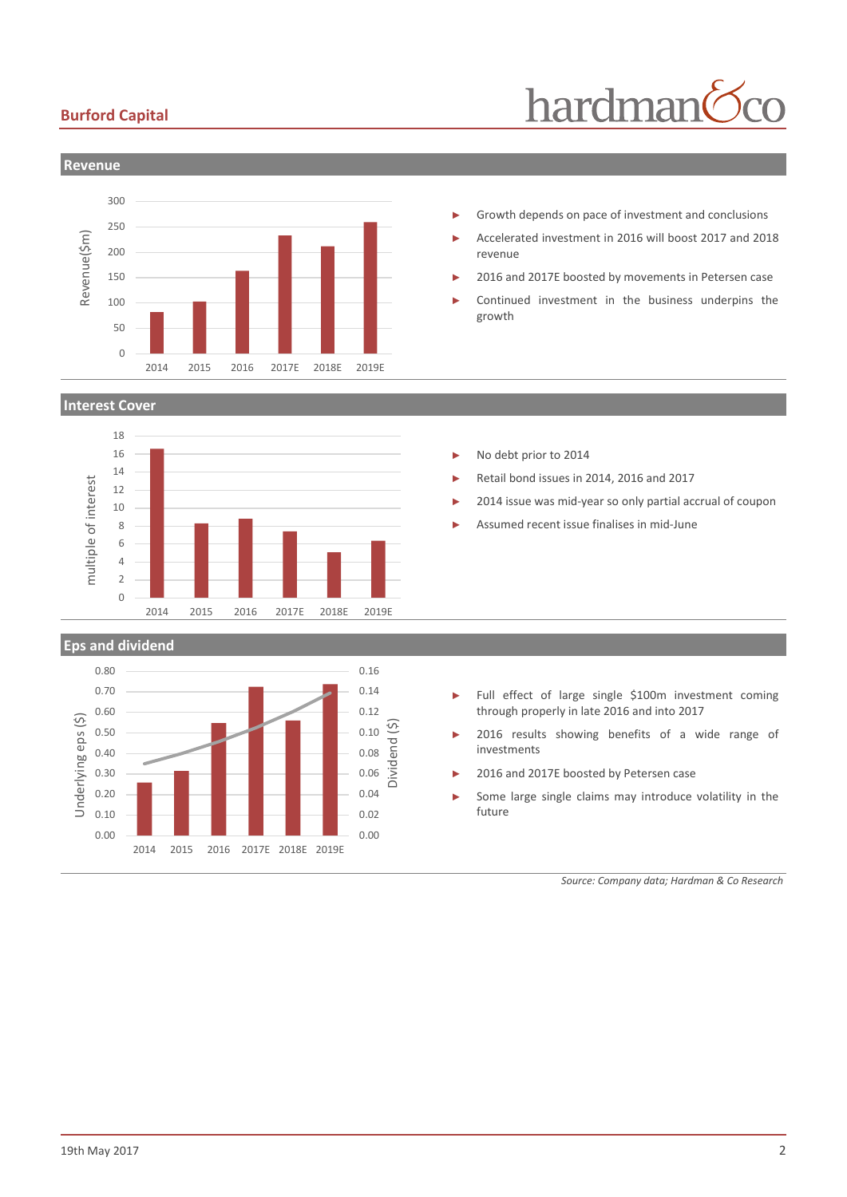### **Burford Capital**





#### **Interest Cover**





- Growth depends on pace of investment and conclusions
- ► Accelerated investment in 2016 will boost 2017 and 2018 revenue
- 2016 and 2017E boosted by movements in Petersen case
- Continued investment in the business underpins the growth

- No debt prior to 2014
- Retail bond issues in 2014, 2016 and 2017
- 2014 issue was mid-year so only partial accrual of coupon
- ► Assumed recent issue finalises in mid-June

- ► Full effect of large single \$100m investment coming through properly in late 2016 and into 2017
- 2016 results showing benefits of a wide range of investments
- 2016 and 2017E boosted by Petersen case
- Some large single claims may introduce volatility in the future

*Source: Company data; Hardman & Co Research*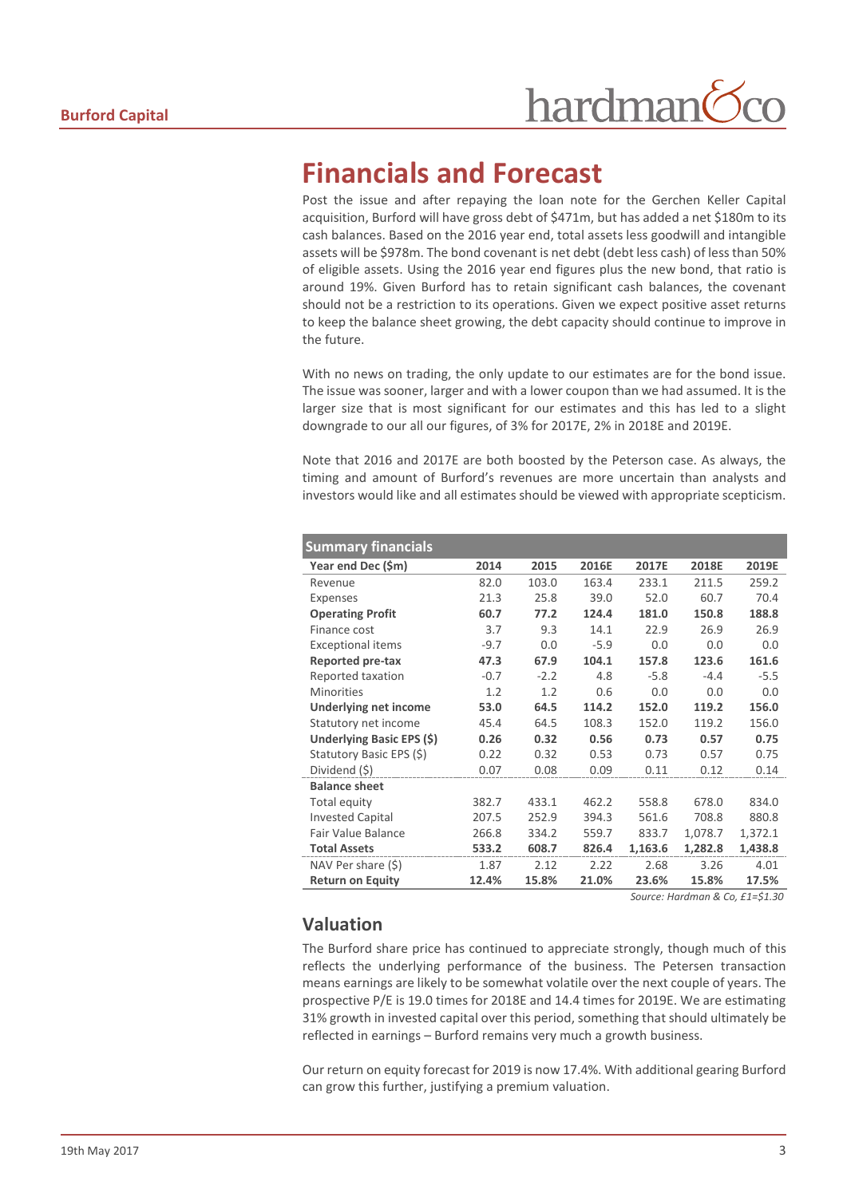# **Financials and Forecast**

Post the issue and after repaying the loan note for the Gerchen Keller Capital acquisition, Burford will have gross debt of \$471m, but has added a net \$180m to its cash balances. Based on the 2016 year end, total assets less goodwill and intangible assets will be \$978m. The bond covenant is net debt (debt less cash) of less than 50% of eligible assets. Using the 2016 year end figures plus the new bond, that ratio is around 19%. Given Burford has to retain significant cash balances, the covenant should not be a restriction to its operations. Given we expect positive asset returns to keep the balance sheet growing, the debt capacity should continue to improve in the future.

With no news on trading, the only update to our estimates are for the bond issue. The issue was sooner, larger and with a lower coupon than we had assumed. It is the larger size that is most significant for our estimates and this has led to a slight downgrade to our all our figures, of 3% for 2017E, 2% in 2018E and 2019E.

Note that 2016 and 2017E are both boosted by the Peterson case. As always, the timing and amount of Burford's revenues are more uncertain than analysts and investors would like and all estimates should be viewed with appropriate scepticism.

| <b>Summary financials</b> |        |        |        |         |         |         |
|---------------------------|--------|--------|--------|---------|---------|---------|
| Year end Dec (\$m)        | 2014   | 2015   | 2016E  | 2017E   | 2018E   | 2019E   |
| Revenue                   | 82.0   | 103.0  | 163.4  | 233.1   | 211.5   | 259.2   |
| Expenses                  | 21.3   | 25.8   | 39.0   | 52.0    | 60.7    | 70.4    |
| <b>Operating Profit</b>   | 60.7   | 77.2   | 124.4  | 181.0   | 150.8   | 188.8   |
| Finance cost              | 3.7    | 9.3    | 14.1   | 22.9    | 26.9    | 26.9    |
| <b>Exceptional items</b>  | $-9.7$ | 0.0    | $-5.9$ | 0.0     | 0.0     | 0.0     |
| Reported pre-tax          | 47.3   | 67.9   | 104.1  | 157.8   | 123.6   | 161.6   |
| Reported taxation         | $-0.7$ | $-2.2$ | 4.8    | $-5.8$  | $-4.4$  | $-5.5$  |
| <b>Minorities</b>         | 1.2    | 1.2    | 0.6    | 0.0     | 0.0     | 0.0     |
| Underlying net income     | 53.0   | 64.5   | 114.2  | 152.0   | 119.2   | 156.0   |
| Statutory net income      | 45.4   | 64.5   | 108.3  | 152.0   | 119.2   | 156.0   |
| Underlying Basic EPS (\$) | 0.26   | 0.32   | 0.56   | 0.73    | 0.57    | 0.75    |
| Statutory Basic EPS (\$)  | 0.22   | 0.32   | 0.53   | 0.73    | 0.57    | 0.75    |
| Dividend (\$)             | 0.07   | 0.08   | 0.09   | 0.11    | 0.12    | 0.14    |
| <b>Balance sheet</b>      |        |        |        |         |         |         |
| Total equity              | 382.7  | 433.1  | 462.2  | 558.8   | 678.0   | 834.0   |
| <b>Invested Capital</b>   | 207.5  | 252.9  | 394.3  | 561.6   | 708.8   | 880.8   |
| <b>Fair Value Balance</b> | 266.8  | 334.2  | 559.7  | 833.7   | 1,078.7 | 1,372.1 |
| <b>Total Assets</b>       | 533.2  | 608.7  | 826.4  | 1,163.6 | 1,282.8 | 1,438.8 |
| NAV Per share $(\$)$      | 1.87   | 2.12   | 2.22   | 2.68    | 3.26    | 4.01    |
| <b>Return on Equity</b>   | 12.4%  | 15.8%  | 21.0%  | 23.6%   | 15.8%   | 17.5%   |

*Source: Hardman & Co, £1=\$1.30*

## **Valuation**

The Burford share price has continued to appreciate strongly, though much of this reflects the underlying performance of the business. The Petersen transaction means earnings are likely to be somewhat volatile over the next couple of years. The prospective P/E is 19.0 times for 2018E and 14.4 times for 2019E. We are estimating 31% growth in invested capital over this period, something that should ultimately be reflected in earnings – Burford remains very much a growth business.

Our return on equity forecast for 2019 is now 17.4%. With additional gearing Burford can grow this further, justifying a premium valuation.